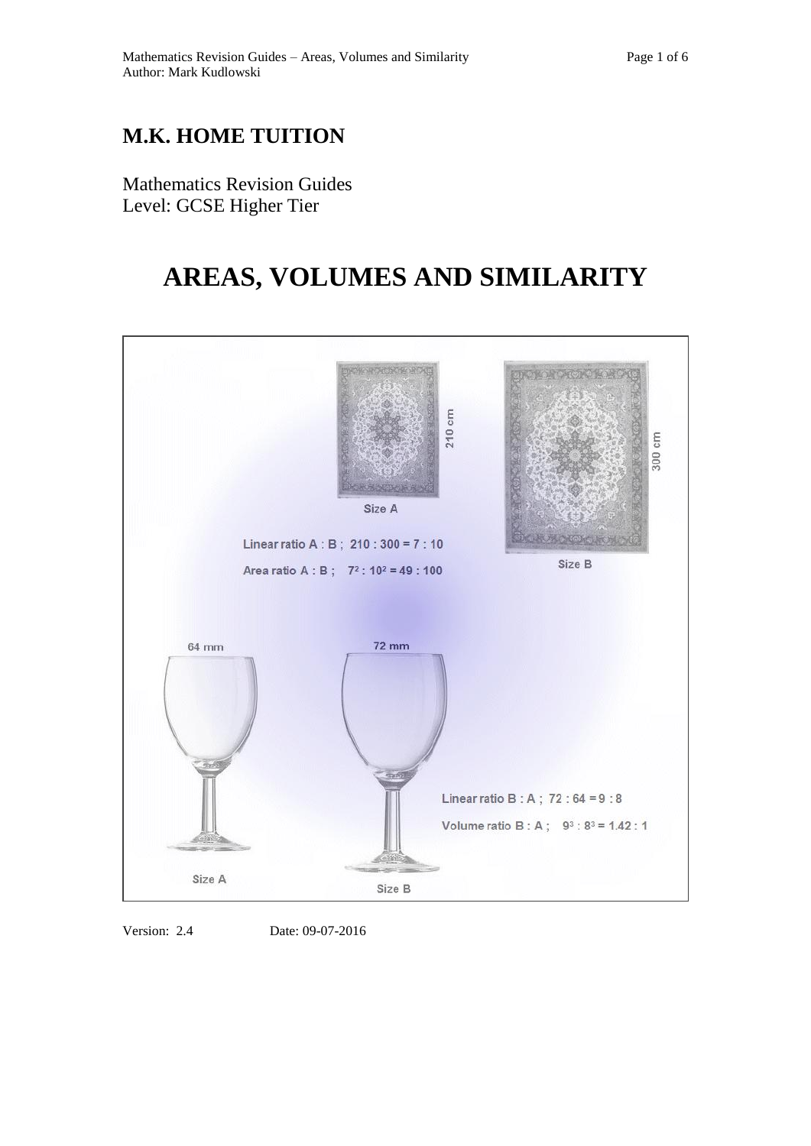## **M.K. HOME TUITION**

Mathematics Revision Guides Level: GCSE Higher Tier

## **AREAS, VOLUMES AND SIMILARITY**



Version: 2.4 Date: 09-07-2016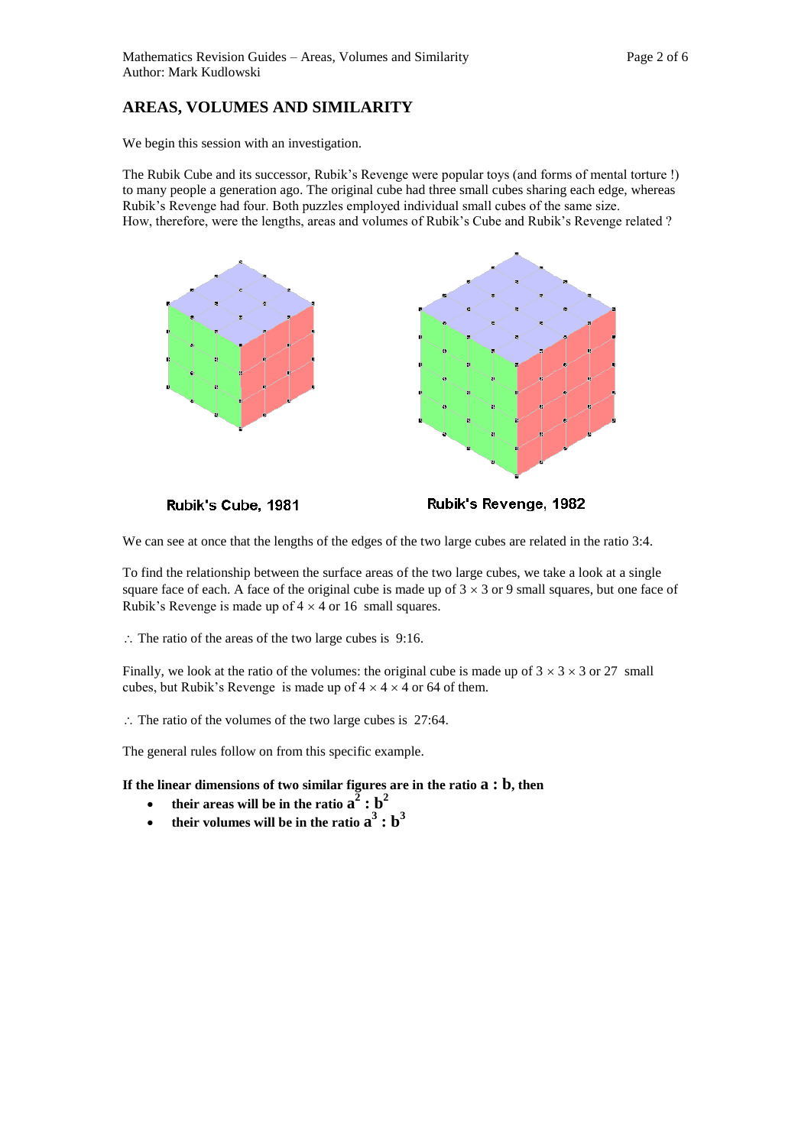## **AREAS, VOLUMES AND SIMILARITY**

We begin this session with an investigation.

The Rubik Cube and its successor, Rubik's Revenge were popular toys (and forms of mental torture !) to many people a generation ago. The original cube had three small cubes sharing each edge, whereas Rubik's Revenge had four. Both puzzles employed individual small cubes of the same size. How, therefore, were the lengths, areas and volumes of Rubik's Cube and Rubik's Revenge related ?



Rubik's Cube, 1981

Rubik's Revenge, 1982

We can see at once that the lengths of the edges of the two large cubes are related in the ratio 3:4.

To find the relationship between the surface areas of the two large cubes, we take a look at a single square face of each. A face of the original cube is made up of  $3 \times 3$  or 9 small squares, but one face of Rubik's Revenge is made up of  $4 \times 4$  or 16 small squares.

 $\therefore$  The ratio of the areas of the two large cubes is 9:16.

Finally, we look at the ratio of the volumes: the original cube is made up of  $3 \times 3 \times 3$  or 27 small cubes, but Rubik's Revenge is made up of  $4 \times 4 \times 4$  or 64 of them.

 $\therefore$  The ratio of the volumes of the two large cubes is 27:64.

The general rules follow on from this specific example.

**If the linear dimensions of two similar figures are in the ratio a : b, then** 

- their areas will be in the ratio  $a^2 : b^2$
- their volumes will be in the ratio  $\mathbf{a}^3$  :  $\mathbf{b}^3$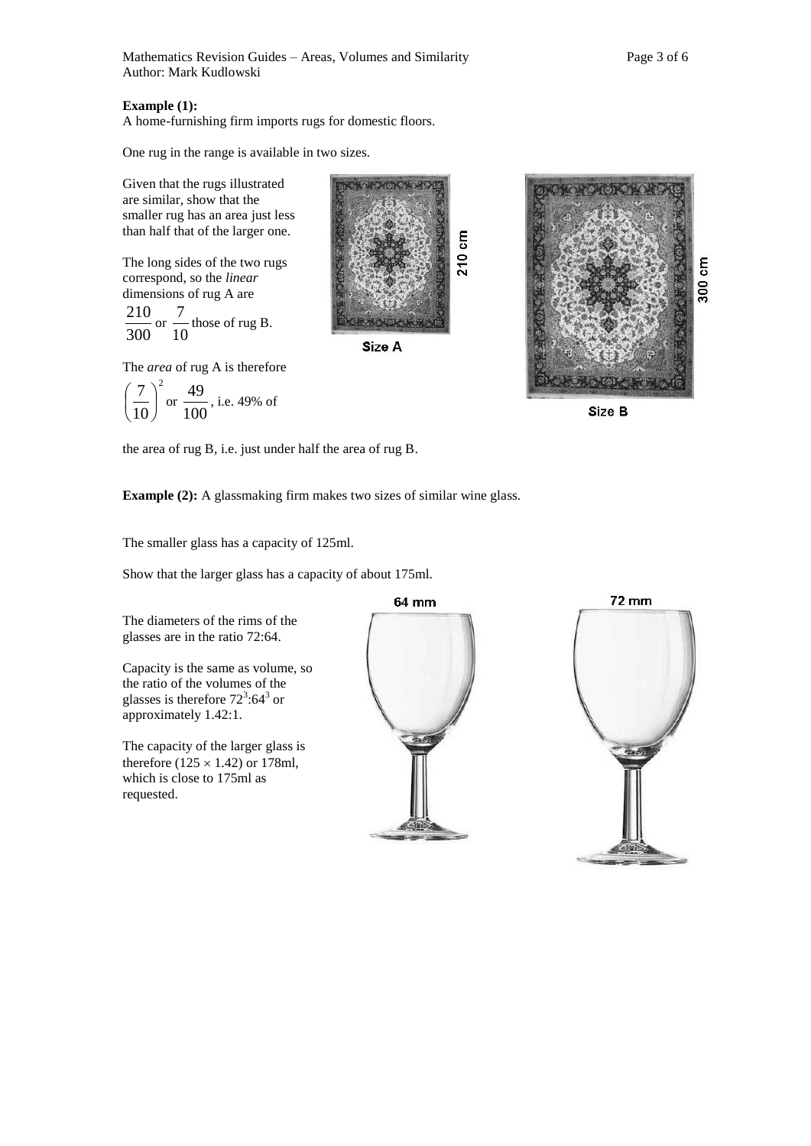## **Example (1):**

A home-furnishing firm imports rugs for domestic floors.

One rug in the range is available in two sizes.

Given that the rugs illustrated are similar, show that the smaller rug has an area just less than half that of the larger one.

The long sides of the two rugs correspond, so the *linear*  dimensions of rug A are

300  $\frac{210}{10}$  or 10  $\frac{7}{1}$  those of rug B.



**CONTROVERS** 

Size A

The *area* of rug A is therefore



300 cm

Size B

the area of rug B, i.e. just under half the area of rug B.

**Example (2):** A glassmaking firm makes two sizes of similar wine glass.

The smaller glass has a capacity of 125ml.

Show that the larger glass has a capacity of about 175ml.

The diameters of the rims of the glasses are in the ratio 72:64.

Capacity is the same as volume, so the ratio of the volumes of the glasses is therefore  $72^3:64^3$  or approximately 1.42:1.

The capacity of the larger glass is therefore  $(125 \times 1.42)$  or 178ml, which is close to 175ml as requested.



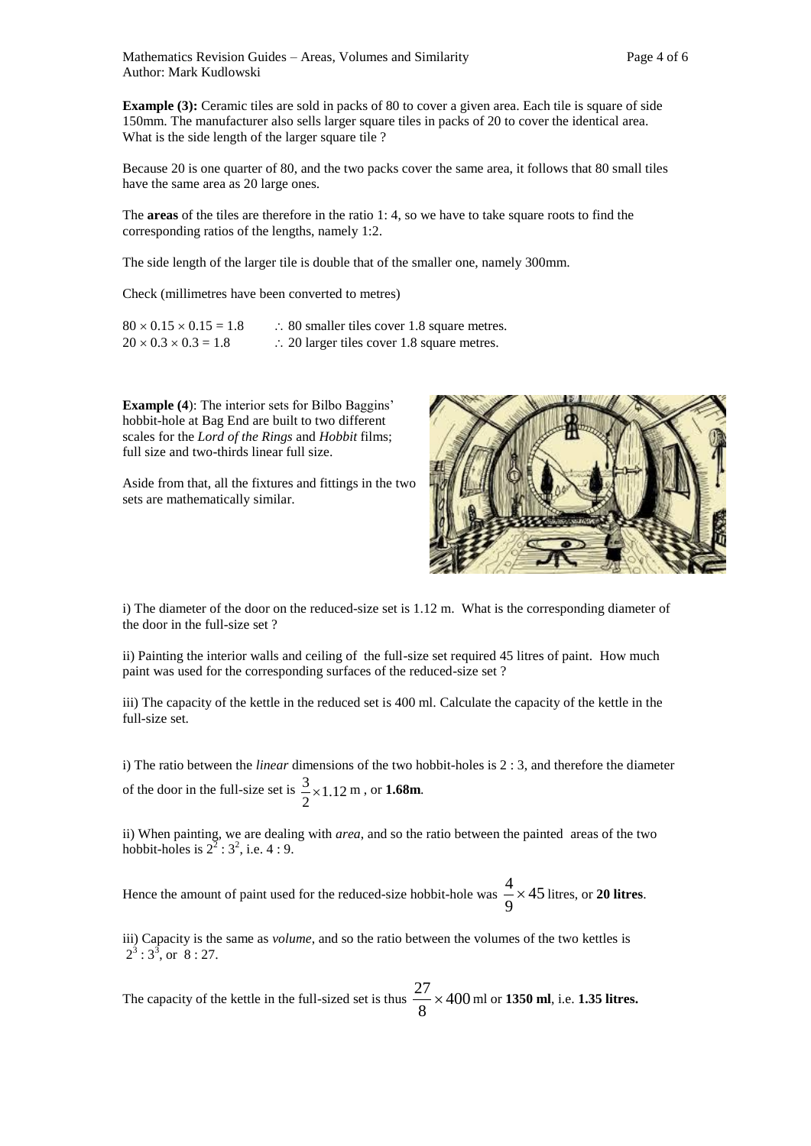**Example (3):** Ceramic tiles are sold in packs of 80 to cover a given area. Each tile is square of side 150mm. The manufacturer also sells larger square tiles in packs of 20 to cover the identical area. What is the side length of the larger square tile ?

Because 20 is one quarter of 80, and the two packs cover the same area, it follows that 80 small tiles have the same area as 20 large ones.

The **areas** of the tiles are therefore in the ratio 1: 4, so we have to take square roots to find the corresponding ratios of the lengths, namely 1:2.

The side length of the larger tile is double that of the smaller one, namely 300mm.

Check (millimetres have been converted to metres)

| $80 \times 0.15 \times 0.15 = 1.8$ | $\therefore$ 80 smaller tiles cover 1.8 square metres. |
|------------------------------------|--------------------------------------------------------|
| $20 \times 0.3 \times 0.3 = 1.8$   | $\therefore$ 20 larger tiles cover 1.8 square metres.  |

**Example (4**): The interior sets for Bilbo Baggins' hobbit-hole at Bag End are built to two different scales for the *Lord of the Rings* and *Hobbit* films; full size and two-thirds linear full size.

Aside from that, all the fixtures and fittings in the two sets are mathematically similar.



i) The diameter of the door on the reduced-size set is 1.12 m. What is the corresponding diameter of the door in the full-size set ?

ii) Painting the interior walls and ceiling of the full-size set required 45 litres of paint. How much paint was used for the corresponding surfaces of the reduced-size set ?

iii) The capacity of the kettle in the reduced set is 400 ml. Calculate the capacity of the kettle in the full-size set.

i) The ratio between the *linear* dimensions of the two hobbit-holes is 2 : 3, and therefore the diameter of the door in the full-size set is  $\frac{3}{2} \times 1.12$ 2  $\frac{3}{1}$  × 1.12 m, or **1.68m**.

ii) When painting, we are dealing with *area*, and so the ratio between the painted areas of the two hobbit-holes is  $2^2$  :  $3^2$ , i.e. 4 : 9.

Hence the amount of paint used for the reduced-size hobbit-hole was  $\frac{1}{2} \times 45$ 9  $\frac{4}{1}$  × 45 litres, or **20 litres**.

iii) Capacity is the same as *volume*, and so the ratio between the volumes of the two kettles is  $2^3:3^5$ , or  $8:27$ .

The capacity of the kettle in the full-sized set is thus  $\frac{27}{5} \times 400$ 8 27 ml or **1350 ml**, i.e. **1.35 litres.**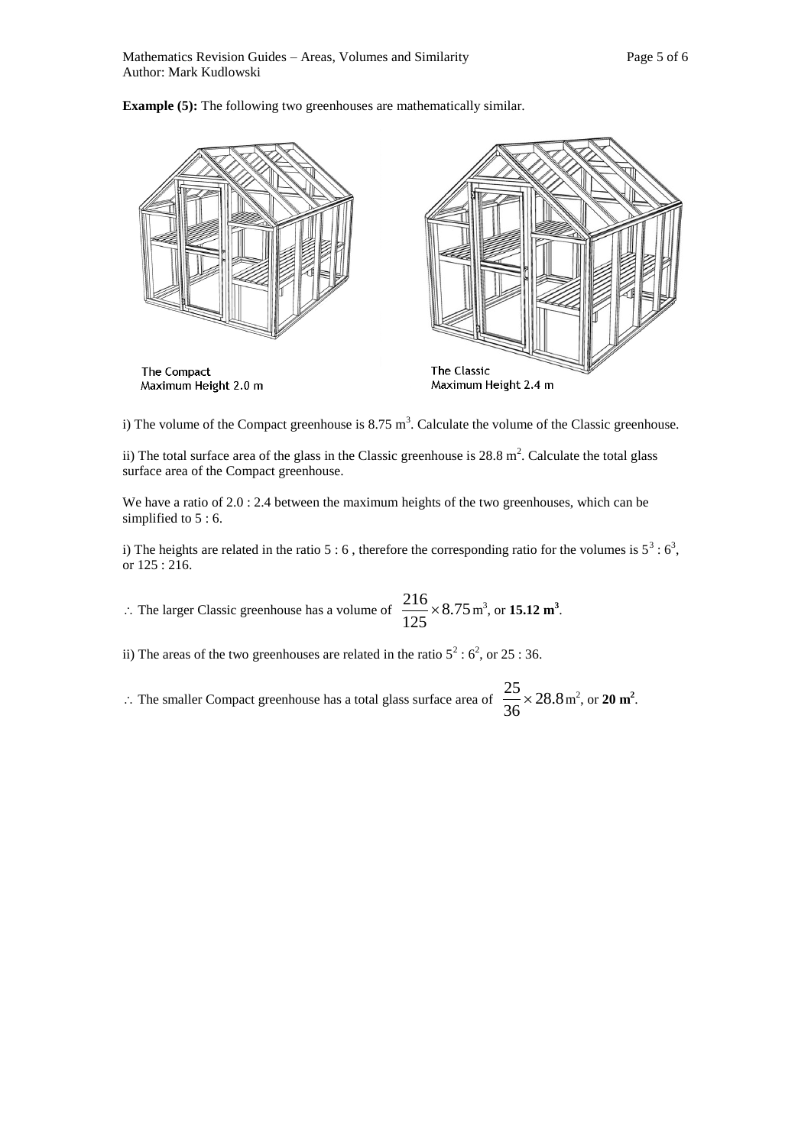**Example (5):** The following two greenhouses are mathematically similar.



i) The volume of the Compact greenhouse is  $8.75 \text{ m}^3$ . Calculate the volume of the Classic greenhouse.

ii) The total surface area of the glass in the Classic greenhouse is  $28.8 \text{ m}^2$ . Calculate the total glass surface area of the Compact greenhouse.

We have a ratio of 2.0 : 2.4 between the maximum heights of the two greenhouses, which can be simplified to  $5:6$ .

i) The heights are related in the ratio 5 : 6, therefore the corresponding ratio for the volumes is  $5^3$  :  $6^3$ , or 125 : 216.

 $\therefore$  The larger Classic greenhouse has a volume of  $\frac{210}{125} \times 8.75$ 125  $\frac{216}{15.12} \times 8.75$  m<sup>3</sup>, or **15.12 m<sup>3</sup>**.

ii) The areas of the two greenhouses are related in the ratio  $5^2 : 6^2$ , or 25 : 36.

 $\therefore$  The smaller Compact greenhouse has a total glass surface area of  $\frac{25}{2} \times 28.8$ 36  $\frac{25}{25} \times 28.8 \,\mathrm{m}^2$ , or **20 m<sup>2</sup>**.